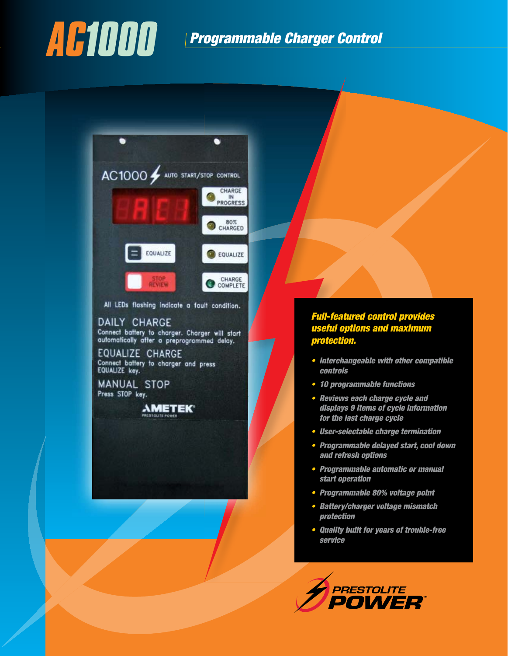## *AC1000 Programmable Charger Control*

٠ ٠ AC1000 wito start/stop control CHARGE IN PROGRESS 80% CHARGED EQUALIZE EQUALIZE CHARGE<br>COMPLETE **REVIEW** All LEDs flashing indicate a fault condition.

#### DAILY CHARGE

Connect battery to charger. Charger will start<br>automatically after a preprogrammed delay.

EQUALIZE CHARGE Connect battery to charger and press EQUALIZE key.

**MANUAL STOP** Press STOP key.

**AMETEK** 

#### *Full-featured control provides useful options and maximum protection.*

- *s Interchangeable with other compatible controls*
- *s 10 programmable functions*
- *s Reviews each charge cycle and displays 9 items of cycle information for the last charge cycle*
- *s User-selectable charge termination*
- *s Programmable delayed start, cool down and refresh options*
- *s Programmable automatic or manual start operation*
- *s Programmable 80% voltage point*
- *s Battery/charger voltage mismatch protection*
- *s Quality built for years of trouble-free service*

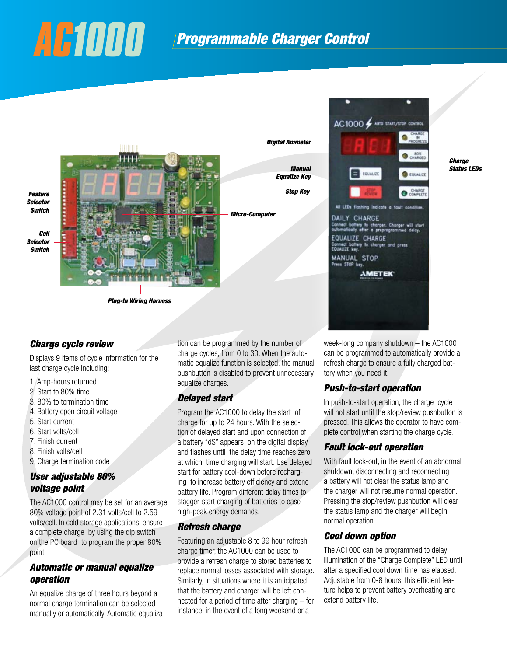## *AC1000 Programmable Charger Control*



#### *Charge cycle review*

Displays 9 items of cycle information for the last charge cycle including:

- 1. Amp-hours returned
- 2. Start to 80% time
- 3. 80% to termination time
- 4. Battery open circuit voltage
- 5. Start current
- 6. Start volts/cell
- 7. Finish current
- 8. Finish volts/cell
- 9. Charge termination code

#### *User adjustable 80% voltage point*

The AC1000 control may be set for an average 80% voltage point of 2.31 volts/cell to 2.59 volts/cell. In cold storage applications, ensure a complete charge by using the dip switch on the PC board to program the proper 80% point.

#### *Automatic or manual equalize operation*

An equalize charge of three hours beyond a normal charge termination can be selected manually or automatically. Automatic equalization can be programmed by the number of charge cycles, from 0 to 30. When the automatic equalize function is selected, the manual pushbutton is disabled to prevent unnecessary equalize charges.

#### *Delayed start*

Program the AC1000 to delay the start of charge for up to 24 hours. With the selection of delayed start and upon connection of a battery "dS" appears on the digital display and flashes until the delay time reaches zero at which time charging will start. Use delayed start for battery cool-down before recharging to increase battery efficiency and extend battery life. Program different delay times to stagger-start charging of batteries to ease high-peak energy demands.

#### *Refresh charge*

Featuring an adjustable 8 to 99 hour refresh charge timer, the AC1000 can be used to provide a refresh charge to stored batteries to replace normal losses associated with storage. Similarly, in situations where it is anticipated that the battery and charger will be left connected for a period of time after charging – for instance, in the event of a long weekend or a

week-long company shutdown – the AC1000 can be programmed to automatically provide a refresh charge to ensure a fully charged battery when you need it.

#### *Push-to-start operation*

In push-to-start operation, the charge cycle will not start until the stop/review pushbutton is pressed. This allows the operator to have complete control when starting the charge cycle.

#### *Fault lock-out operation*

With fault lock-out, in the event of an abnormal shutdown, disconnecting and reconnecting a battery will not clear the status lamp and the charger will not resume normal operation. Pressing the stop/review pushbutton will clear the status lamp and the charger will begin normal operation.

#### *Cool down option*

The AC1000 can be programmed to delay illumination of the "Charge Complete" LED until after a specified cool down time has elapsed. Adjustable from 0-8 hours, this efficient feature helps to prevent battery overheating and extend battery life.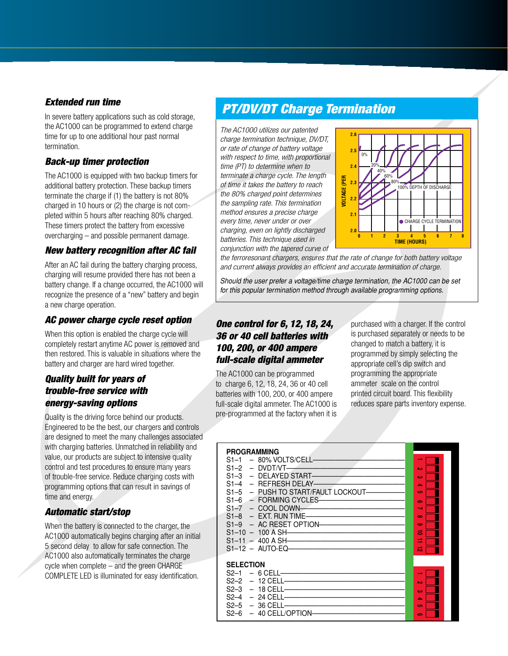#### *Extended run time*

In severe battery applications such as cold storage, the AC1000 can be programmed to extend charge time for up to one additional hour past normal termination.

#### *Back-up timer protection*

The AC1000 is equipped with two backup timers for additional battery protection. These backup timers terminate the charge if (1) the battery is not 80% charged in 10 hours or (2) the charge is not completed within 5 hours after reaching 80% charged. These timers protect the battery from excessive overcharging – and possible permanent damage.

#### *New battery recognition after AC fail*

After an AC fail during the battery charging process, charging will resume provided there has not been a battery change. If a change occurred, the AC1000 will recognize the presence of a "new" battery and begin a new charge operation.

#### *AC power charge cycle reset option*

When this option is enabled the charge cycle will completely restart anytime AC power is removed and then restored. This is valuable in situations where the battery and charger are hard wired together.

#### *Quality built for years of trouble-free service with energy-saving options*

Quality is the driving force behind our products. Engineered to be the best, our chargers and controls are designed to meet the many challenges associated with charging batteries. Unmatched in reliability and value, our products are subject to intensive quality control and test procedures to ensure many years of trouble-free service. Reduce charging costs with programming options that can result in savings of time and energy.

#### *Automatic start/stop*

When the battery is connected to the charger, the AC1000 automatically begins charging after an initial 5 second delay to allow for safe connection. The AC1000 also automatically terminates the charge cycle when complete – and the green CHARGE COMPLETE LED is illuminated for easy identification.

### *PT/DV/DT Charge Termination*

The AC1000 utilizes our patented charge termination technique, DV/DT, or rate of change of battery voltage with respect to time, with proportional time (PT) to determine when to terminate a charge cycle. The length of time it takes the battery to reach the 80% charged point determines the sampling rate. This termination method ensures a precise charge every time, never under or over charging, even on lightly discharged batteries. This technique used in conjunction with the tapered curve of



the ferroresonant chargers, ensures that the rate of change for both battery voltage and current always provides an efficient and accurate termination of charge.

Should the user prefer a voltage/time charge termination, the AC1000 can be set for this popular termination method through available programming options.

#### *One control for 6, 12, 18, 24, 36 or 40 cell batteries with 100, 200, or 400 ampere full-scale digital ammeter*

The AC1000 can be programmed to charge 6, 12, 18, 24, 36 or 40 cell batteries with 100, 200, or 400 ampere full-scale digital ammeter. The AC1000 is pre-programmed at the factory when it is

purchased with a charger. If the control is purchased separately or needs to be changed to match a battery, it is programmed by simply selecting the appropriate cell's dip switch and programming the appropriate ammeter scale on the control printed circuit board. This flexibility reduces spare parts inventory expense.